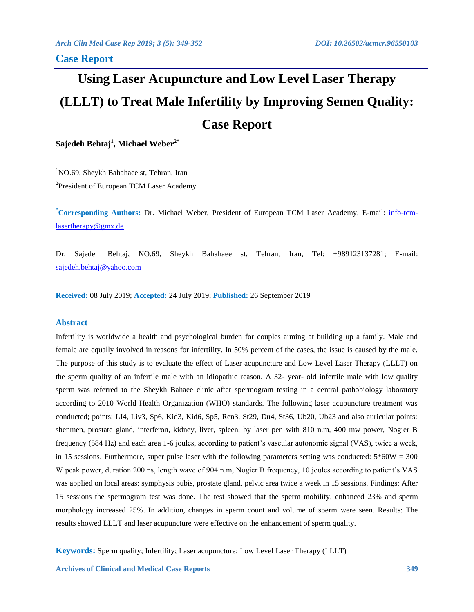# **Using Laser Acupuncture and Low Level Laser Therapy (LLLT) to Treat Male Infertility by Improving Semen Quality: Case Report**

**Sajedeh Behtaj<sup>1</sup> , Michael Weber2\***

<sup>1</sup>NO.69, Sheykh Bahahaee st, Tehran, Iran

<sup>2</sup>President of European TCM Laser Academy

**\*Corresponding Authors:** Dr. Michael Weber, President of European TCM Laser Academy, E-mail: [info-tcm](mailto:info-tcm-lasertherapy@gmx.de)[lasertherapy@gmx.de](mailto:info-tcm-lasertherapy@gmx.de)

Dr. Sajedeh Behtaj, NO.69, Sheykh Bahahaee st, Tehran, Iran, Tel: +989123137281; E-mail: [sajedeh.behtaj@yahoo.com](mailto:sajedeh.behtaj@yahoo.com)

**Received:** 08 July 2019; **Accepted:** 24 July 2019; **Published:** 26 September 2019

# **Abstract**

Infertility is worldwide a health and psychological burden for couples aiming at building up a family. Male and female are equally involved in reasons for infertility. In 50% percent of the cases, the issue is caused by the male. The purpose of this study is to evaluate the effect of Laser acupuncture and Low Level Laser Therapy (LLLT) on the sperm quality of an infertile male with an idiopathic reason. A 32- year- old infertile male with low quality sperm was referred to the Sheykh Bahaee clinic after spermogram testing in a central pathobiology laboratory according to 2010 World Health Organization (WHO) standards. The following laser acupuncture treatment was conducted; points: LI4, Liv3, Sp6, Kid3, Kid6, Sp5, Ren3, St29, Du4, St36, Ub20, Ub23 and also auricular points: shenmen, prostate gland, interferon, kidney, liver, spleen, by laser pen with 810 n.m, 400 mw power, Nogier B frequency (584 Hz) and each area 1-6 joules, according to patient's vascular autonomic signal (VAS), twice a week, in 15 sessions. Furthermore, super pulse laser with the following parameters setting was conducted:  $5*60W = 300$ W peak power, duration 200 ns, length wave of 904 n.m, Nogier B frequency, 10 joules according to patient's VAS was applied on local areas: symphysis pubis, prostate gland, pelvic area twice a week in 15 sessions. Findings: After 15 sessions the spermogram test was done. The test showed that the sperm mobility, enhanced 23% and sperm morphology increased 25%. In addition, changes in sperm count and volume of sperm were seen. Results: The results showed LLLT and laser acupuncture were effective on the enhancement of sperm quality.

**Keywords:** Sperm quality; Infertility; Laser acupuncture; Low Level Laser Therapy (LLLT)

**Archives of Clinical and Medical Case Reports 349**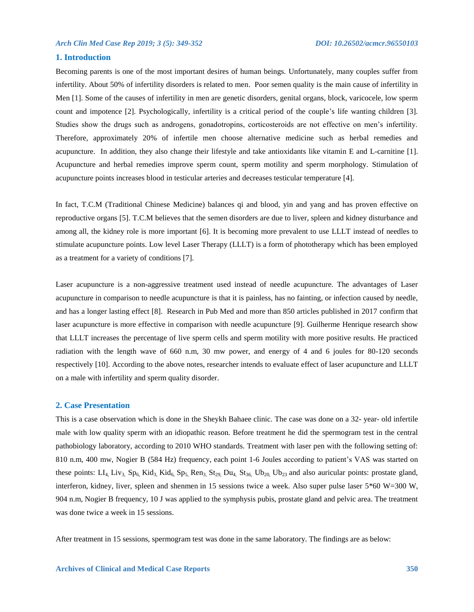## **1. Introduction**

Becoming parents is one of the most important desires of human beings. Unfortunately, many couples suffer from infertility. About 50% of infertility disorders is related to men. Poor semen quality is the main cause of infertility in Men [1]. Some of the causes of infertility in men are genetic disorders, genital organs, block, varicocele, low sperm count and impotence [2]. Psychologically, infertility is a critical period of the couple's life wanting children [3]. Studies show the drugs such as androgens, gonadotropins, corticosteroids are not effective on men's infertility. Therefore, approximately 20% of infertile men choose alternative medicine such as herbal remedies and acupuncture. In addition, they also change their lifestyle and take antioxidants like vitamin E and L-carnitine [1]. Acupuncture and herbal remedies improve sperm count, sperm motility and sperm morphology. Stimulation of acupuncture points increases blood in testicular arteries and decreases testicular temperature [4].

In fact, T.C.M (Traditional Chinese Medicine) balances qi and blood, yin and yang and has proven effective on reproductive organs [5]. T.C.M believes that the semen disorders are due to liver, spleen and kidney disturbance and among all, the kidney role is more important [6]. It is becoming more prevalent to use LLLT instead of needles to stimulate acupuncture points. Low level Laser Therapy (LLLT) is a form of phototherapy which has been employed as a treatment for a variety of conditions [7].

Laser acupuncture is a non-aggressive treatment used instead of needle acupuncture. The advantages of Laser acupuncture in comparison to needle acupuncture is that it is painless, has no fainting, or infection caused by needle, and has a longer lasting effect [8]. Research in Pub Med and more than 850 articles published in 2017 confirm that laser acupuncture is more effective in comparison with needle acupuncture [9]. Guilherme Henrique research show that LLLT increases the percentage of live sperm cells and sperm motility with more positive results. He practiced radiation with the length wave of 660 n.m, 30 mw power, and energy of 4 and 6 joules for 80-120 seconds respectively [10]. According to the above notes, researcher intends to evaluate effect of laser acupuncture and LLLT on a male with infertility and sperm quality disorder.

#### **2. Case Presentation**

This is a case observation which is done in the Sheykh Bahaee clinic. The case was done on a 32- year- old infertile male with low quality sperm with an idiopathic reason. Before treatment he did the spermogram test in the central pathobiology laboratory, according to 2010 WHO standards. Treatment with laser pen with the following setting of: 810 n.m, 400 mw, Nogier B (584 Hz) frequency, each point 1-6 Joules according to patient's VAS was started on these points:  $LI_4$ ,  $Liv_3$ ,  $Sp_6$ ,  $Kid_3$ ,  $Kid_6$ ,  $Sp_5$ ,  $Ren_3$ ,  $St_{29}$ ,  $Du_4$ ,  $St_{36}$ ,  $Ub_{20}$ ,  $Ub_{23}$  and also auricular points: prostate gland, interferon, kidney, liver, spleen and shenmen in 15 sessions twice a week. Also super pulse laser 5\*60 W=300 W, 904 n.m, Nogier B frequency, 10 J was applied to the symphysis pubis, prostate gland and pelvic area. The treatment was done twice a week in 15 sessions.

After treatment in 15 sessions, spermogram test was done in the same laboratory. The findings are as below: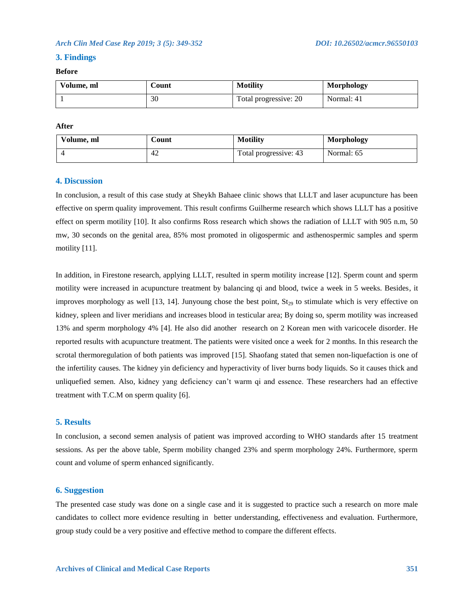## **3. Findings**

# **Before**

| Volume, ml | <b>Count</b> | <b>Motility</b>       | <b>Morphology</b> |
|------------|--------------|-----------------------|-------------------|
|            | 30           | Total progressive: 20 | Normal: 41        |

#### **After**

| Volume, ml | ∠ount | <b>Motility</b>       | <b>Morphology</b> |
|------------|-------|-----------------------|-------------------|
|            | 42    | Total progressive: 43 | Normal: 65        |

#### **4. Discussion**

In conclusion, a result of this case study at Sheykh Bahaee clinic shows that LLLT and laser acupuncture has been effective on sperm quality improvement. This result confirms Guilherme research which shows LLLT has a positive effect on sperm motility [10]. It also confirms Ross research which shows the radiation of LLLT with 905 n.m, 50 mw, 30 seconds on the genital area, 85% most promoted in oligospermic and asthenospermic samples and sperm motility [11].

In addition, in Firestone research, applying LLLT, resulted in sperm motility increase [12]. Sperm count and sperm motility were increased in acupuncture treatment by balancing qi and blood, twice a week in 5 weeks. Besides, it improves morphology as well  $[13, 14]$ . Junyoung chose the best point,  $St_{29}$  to stimulate which is very effective on kidney, spleen and liver meridians and increases blood in testicular area; By doing so, sperm motility was increased 13% and sperm morphology 4% [4]. He also did another research on 2 Korean men with varicocele disorder. He reported results with acupuncture treatment. The patients were visited once a week for 2 months. In this research the scrotal thermoregulation of both patients was improved [15]. Shaofang stated that semen non-liquefaction is one of the infertility causes. The kidney yin deficiency and hyperactivity of liver burns body liquids. So it causes thick and unliquefied semen. Also, kidney yang deficiency can't warm qi and essence. These researchers had an effective treatment with T.C.M on sperm quality [6].

#### **5. Results**

In conclusion, a second semen analysis of patient was improved according to WHO standards after 15 treatment sessions. As per the above table, Sperm mobility changed 23% and sperm morphology 24%. Furthermore, sperm count and volume of sperm enhanced significantly.

# **6. Suggestion**

The presented case study was done on a single case and it is suggested to practice such a research on more male candidates to collect more evidence resulting in better understanding, effectiveness and evaluation. Furthermore, group study could be a very positive and effective method to compare the different effects.